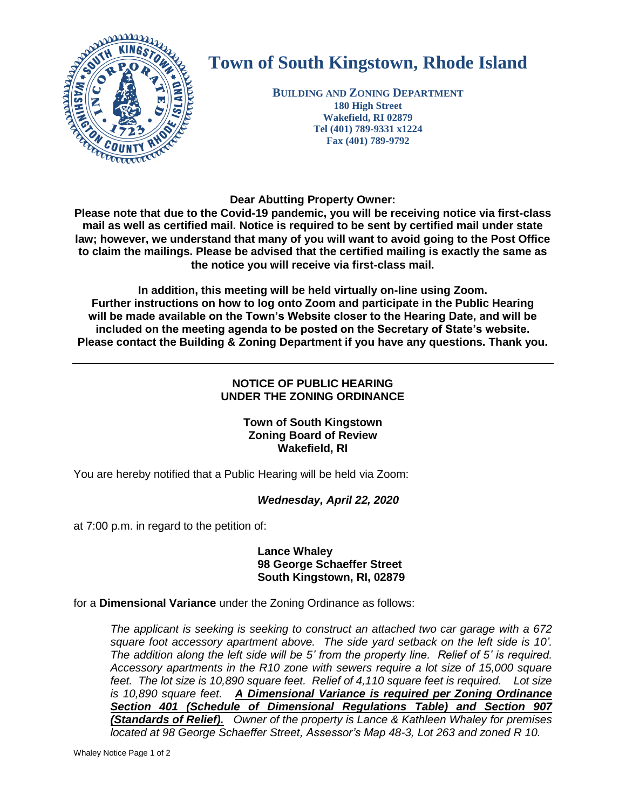

# **Town of South Kingstown, Rhode Island**

**BUILDING AND ZONING DEPARTMENT 180 High Street Wakefield, RI 02879 Tel (401) 789-9331 x1224 Fax (401) 789-9792**

**Dear Abutting Property Owner:** 

**Please note that due to the Covid-19 pandemic, you will be receiving notice via first-class mail as well as certified mail. Notice is required to be sent by certified mail under state law; however, we understand that many of you will want to avoid going to the Post Office to claim the mailings. Please be advised that the certified mailing is exactly the same as the notice you will receive via first-class mail.** 

**In addition, this meeting will be held virtually on-line using Zoom. Further instructions on how to log onto Zoom and participate in the Public Hearing will be made available on the Town's Website closer to the Hearing Date, and will be included on the meeting agenda to be posted on the Secretary of State's website. Please contact the Building & Zoning Department if you have any questions. Thank you.**

#### **NOTICE OF PUBLIC HEARING UNDER THE ZONING ORDINANCE**

#### **Town of South Kingstown Zoning Board of Review Wakefield, RI**

You are hereby notified that a Public Hearing will be held via Zoom:

### *Wednesday, April 22, 2020*

at 7:00 p.m. in regard to the petition of:

**Lance Whaley 98 George Schaeffer Street South Kingstown, RI, 02879**

for a **Dimensional Variance** under the Zoning Ordinance as follows:

*The applicant is seeking is seeking to construct an attached two car garage with a 672 square foot accessory apartment above. The side yard setback on the left side is 10'. The addition along the left side will be 5' from the property line. Relief of 5' is required. Accessory apartments in the R10 zone with sewers require a lot size of 15,000 square feet. The lot size is 10,890 square feet. Relief of 4,110 square feet is required. Lot size is 10,890 square feet. A Dimensional Variance is required per Zoning Ordinance Section 401 (Schedule of Dimensional Regulations Table) and Section 907 (Standards of Relief). Owner of the property is Lance & Kathleen Whaley for premises located at 98 George Schaeffer Street, Assessor's Map 48-3, Lot 263 and zoned R 10.*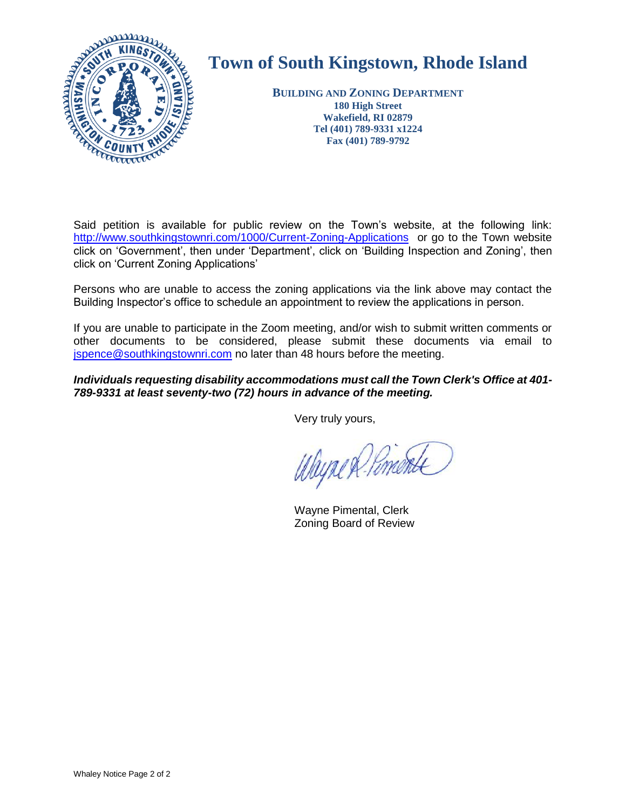

## **Town of South Kingstown, Rhode Island**

**BUILDING AND ZONING DEPARTMENT 180 High Street Wakefield, RI 02879 Tel (401) 789-9331 x1224 Fax (401) 789-9792**

Said petition is available for public review on the Town's website, at the following link: <http://www.southkingstownri.com/1000/Current-Zoning-Applications>or go to the Town website click on 'Government', then under 'Department', click on 'Building Inspection and Zoning', then click on 'Current Zoning Applications'

Persons who are unable to access the zoning applications via the link above may contact the Building Inspector's office to schedule an appointment to review the applications in person.

If you are unable to participate in the Zoom meeting, and/or wish to submit written comments or other documents to be considered, please submit these documents via email to [jspence@southkingstownri.com](mailto:jspence@southkingstownri.com) no later than 48 hours before the meeting.

*Individuals requesting disability accommodations must call the Town Clerk's Office at 401- 789-9331 at least seventy-two (72) hours in advance of the meeting.*

Very truly yours,

Wayne & Pimonte

Wayne Pimental, Clerk Zoning Board of Review